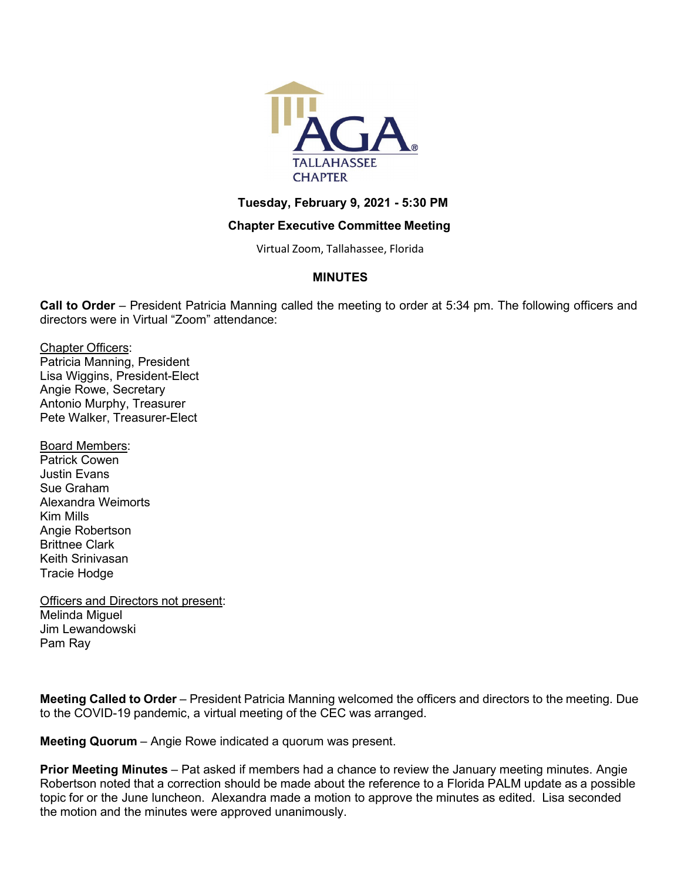

## **Tuesday, February 9, 2021 - 5:30 PM**

## **Chapter Executive Committee Meeting**

Virtual Zoom, Tallahassee, Florida

# **MINUTES**

**Call to Order** – President Patricia Manning called the meeting to order at 5:34 pm. The following officers and directors were in Virtual "Zoom" attendance:

Chapter Officers: Patricia Manning, President Lisa Wiggins, President-Elect Angie Rowe, Secretary Antonio Murphy, Treasurer

Pete Walker, Treasurer-Elect

Board Members:

Patrick Cowen Justin Evans Sue Graham Alexandra Weimorts Kim Mills Angie Robertson Brittnee Clark Keith Srinivasan Tracie Hodge

Officers and Directors not present: Melinda Miguel Jim Lewandowski Pam Ray

**Meeting Called to Order** – President Patricia Manning welcomed the officers and directors to the meeting. Due to the COVID-19 pandemic, a virtual meeting of the CEC was arranged.

**Meeting Quorum** – Angie Rowe indicated a quorum was present.

**Prior Meeting Minutes** – Pat asked if members had a chance to review the January meeting minutes. Angie Robertson noted that a correction should be made about the reference to a Florida PALM update as a possible topic for or the June luncheon. Alexandra made a motion to approve the minutes as edited. Lisa seconded the motion and the minutes were approved unanimously.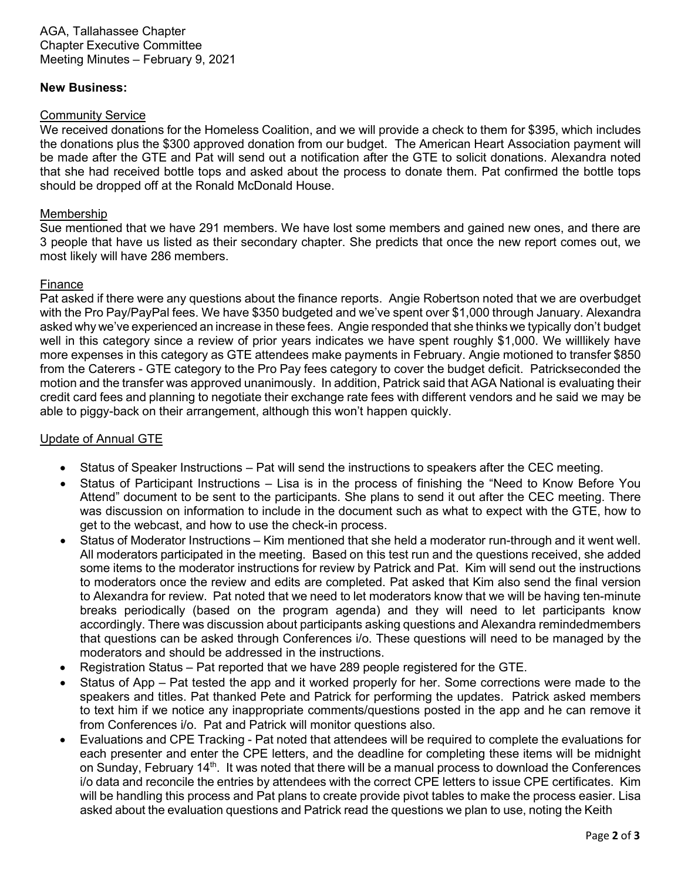AGA, Tallahassee Chapter Chapter Executive Committee Meeting Minutes – February 9, 2021

### **New Business:**

#### Community Service

We received donations for the Homeless Coalition, and we will provide a check to them for \$395, which includes the donations plus the \$300 approved donation from our budget. The American Heart Association payment will be made after the GTE and Pat will send out a notification after the GTE to solicit donations. Alexandra noted that she had received bottle tops and asked about the process to donate them. Pat confirmed the bottle tops should be dropped off at the Ronald McDonald House.

### Membership

Sue mentioned that we have 291 members. We have lost some members and gained new ones, and there are 3 people that have us listed as their secondary chapter. She predicts that once the new report comes out, we most likely will have 286 members.

### Finance

Pat asked if there were any questions about the finance reports. Angie Robertson noted that we are overbudget with the Pro Pay/PayPal fees. We have \$350 budgeted and we've spent over \$1,000 through January. Alexandra asked why we've experienced an increase in these fees. Angie responded that she thinks we typically don't budget well in this category since a review of prior years indicates we have spent roughly \$1,000. We willlikely have more expenses in this category as GTE attendees make payments in February. Angie motioned to transfer \$850 from the Caterers - GTE category to the Pro Pay fees category to cover the budget deficit. Patrickseconded the motion and the transfer was approved unanimously. In addition, Patrick said that AGA National is evaluating their credit card fees and planning to negotiate their exchange rate fees with different vendors and he said we may be able to piggy-back on their arrangement, although this won't happen quickly.

## Update of Annual GTE

- Status of Speaker Instructions Pat will send the instructions to speakers after the CEC meeting.
- Status of Participant Instructions Lisa is in the process of finishing the "Need to Know Before You Attend" document to be sent to the participants. She plans to send it out after the CEC meeting. There was discussion on information to include in the document such as what to expect with the GTE, how to get to the webcast, and how to use the check-in process.
- Status of Moderator Instructions Kim mentioned that she held a moderator run-through and it went well. All moderators participated in the meeting. Based on this test run and the questions received, she added some items to the moderator instructions for review by Patrick and Pat. Kim will send out the instructions to moderators once the review and edits are completed. Pat asked that Kim also send the final version to Alexandra for review. Pat noted that we need to let moderators know that we will be having ten-minute breaks periodically (based on the program agenda) and they will need to let participants know accordingly. There was discussion about participants asking questions and Alexandra remindedmembers that questions can be asked through Conferences i/o. These questions will need to be managed by the moderators and should be addressed in the instructions.
- Registration Status Pat reported that we have 289 people registered for the GTE.
- Status of App Pat tested the app and it worked properly for her. Some corrections were made to the speakers and titles. Pat thanked Pete and Patrick for performing the updates. Patrick asked members to text him if we notice any inappropriate comments/questions posted in the app and he can remove it from Conferences i/o. Pat and Patrick will monitor questions also.
- Evaluations and CPE Tracking Pat noted that attendees will be required to complete the evaluations for each presenter and enter the CPE letters, and the deadline for completing these items will be midnight on Sunday, February  $14<sup>th</sup>$ . It was noted that there will be a manual process to download the Conferences i/o data and reconcile the entries by attendees with the correct CPE letters to issue CPE certificates. Kim will be handling this process and Pat plans to create provide pivot tables to make the process easier. Lisa asked about the evaluation questions and Patrick read the questions we plan to use, noting the Keith